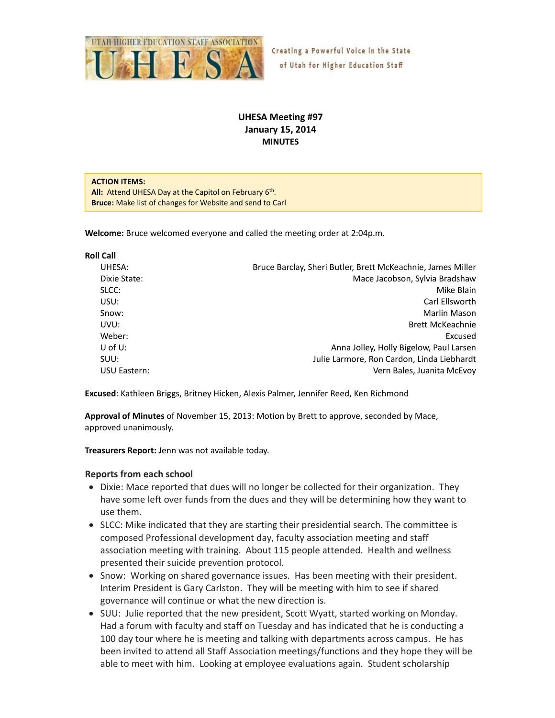

Creating a Powerful Voice in the State of Utah for Higher Education Staff

### **UHESA Meeting #97 January 15, 2014 MINUTES**

#### **ACTION ITEMS:**

All: Attend UHESA Day at the Capitol on February 6<sup>th</sup>. **Bruce:** Make list of changes for Website and send to Carl

**Welcome:** Bruce welcomed everyone and called the meeting order at 2:04p.m.

#### **Roll Call**

| UHESA:       | Bruce Barclay, Sheri Butler, Brett McKeachnie, James Miller |
|--------------|-------------------------------------------------------------|
| Dixie State: | Mace Jacobson, Sylvia Bradshaw                              |
| SLCC:        | Mike Blain                                                  |
| USU:         | Carl Ellsworth                                              |
| Snow:        | Marlin Mason                                                |
| UVU:         | <b>Brett McKeachnie</b>                                     |
| Weber:       | Excused                                                     |
| $U$ of $U$ : | Anna Jolley, Holly Bigelow, Paul Larsen                     |
| SUU:         | Julie Larmore, Ron Cardon, Linda Liebhardt                  |
| USU Eastern: | Vern Bales, Juanita McEvoy                                  |

**Excused**: Kathleen Briggs, Britney Hicken, Alexis Palmer, Jennifer Reed, Ken Richmond

**Approval of Minutes** of November 15, 2013: Motion by Brett to approve, seconded by Mace, approved unanimously.

**Treasurers Report: J**enn was not available today.

### **Reports from each school**

- Dixie: Mace reported that dues will no longer be collected for their organization. They have some left over funds from the dues and they will be determining how they want to use them.
- SLCC: Mike indicated that they are starting their presidential search. The committee is composed Professional development day, faculty association meeting and staff association meeting with training. About 115 people attended. Health and wellness presented their suicide prevention protocol.
- Snow: Working on shared governance issues. Has been meeting with their president. Interim President is Gary Carlston. They will be meeting with him to see if shared governance will continue or what the new direction is.
- SUU: Julie reported that the new president, Scott Wyatt, started working on Monday. Had a forum with faculty and staff on Tuesday and has indicated that he is conducting a 100 day tour where he is meeting and talking with departments across campus. He has been invited to attend all Staff Association meetings/functions and they hope they will be able to meet with him. Looking at employee evaluations again. Student scholarship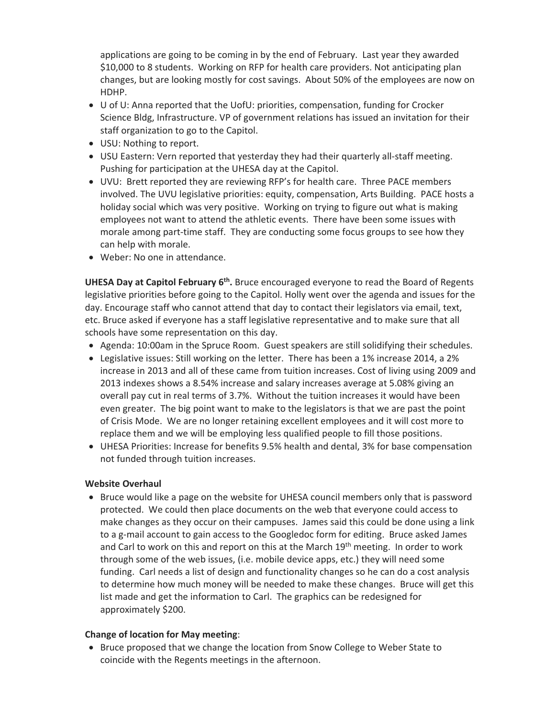applications are going to be coming in by the end of February. Last year they awarded \$10,000 to 8 students. Working on RFP for health care providers. Not anticipating plan changes, but are looking mostly for cost savings. About 50% of the employees are now on HDHP.

- U of U: Anna reported that the UofU: priorities, compensation, funding for Crocker Science Bldg, Infrastructure. VP of government relations has issued an invitation for their staff organization to go to the Capitol.
- USU: Nothing to report.
- USU Eastern: Vern reported that yesterday they had their quarterly all-staff meeting. Pushing for participation at the UHESA day at the Capitol.
- UVU: Brett reported they are reviewing RFP's for health care. Three PACE members involved. The UVU legislative priorities: equity, compensation, Arts Building. PACE hosts a holiday social which was very positive. Working on trying to figure out what is making employees not want to attend the athletic events. There have been some issues with morale among part‐time staff. They are conducting some focus groups to see how they can help with morale.
- Weber: No one in attendance.

**UHESA Day at Capitol February 6th.** Bruce encouraged everyone to read the Board of Regents legislative priorities before going to the Capitol. Holly went over the agenda and issues for the day. Encourage staff who cannot attend that day to contact their legislators via email, text, etc. Bruce asked if everyone has a staff legislative representative and to make sure that all schools have some representation on this day.

- Agenda: 10:00am in the Spruce Room. Guest speakers are still solidifying their schedules.
- Legislative issues: Still working on the letter. There has been a 1% increase 2014, a 2% increase in 2013 and all of these came from tuition increases. Cost of living using 2009 and 2013 indexes shows a 8.54% increase and salary increases average at 5.08% giving an overall pay cut in real terms of 3.7%. Without the tuition increases it would have been even greater. The big point want to make to the legislators is that we are past the point of Crisis Mode. We are no longer retaining excellent employees and it will cost more to replace them and we will be employing less qualified people to fill those positions.
- UHESA Priorities: Increase for benefits 9.5% health and dental, 3% for base compensation not funded through tuition increases.

# **Website Overhaul**

• Bruce would like a page on the website for UHESA council members only that is password protected. We could then place documents on the web that everyone could access to make changes as they occur on their campuses. James said this could be done using a link to a g‐mail account to gain access to the Googledoc form for editing. Bruce asked James and Carl to work on this and report on this at the March 19<sup>th</sup> meeting. In order to work through some of the web issues, (i.e. mobile device apps, etc.) they will need some funding. Carl needs a list of design and functionality changes so he can do a cost analysis to determine how much money will be needed to make these changes. Bruce will get this list made and get the information to Carl. The graphics can be redesigned for approximately \$200.

# **Change of location for May meeting**:

• Bruce proposed that we change the location from Snow College to Weber State to coincide with the Regents meetings in the afternoon.